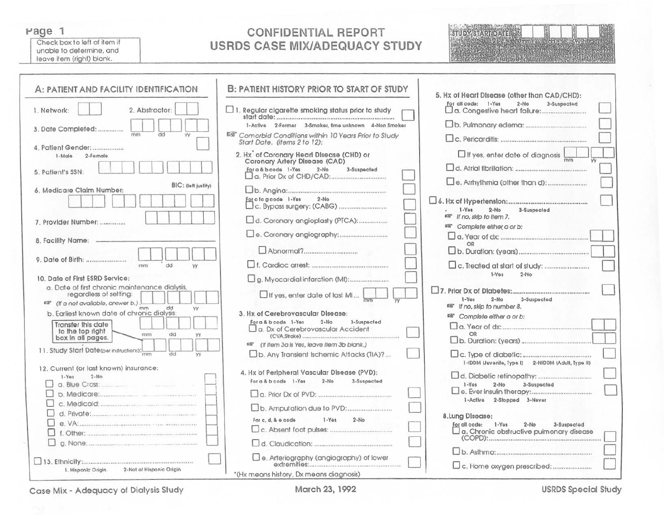#### Page 1

Check box to left of item if unable to determine, and leave item (right) blank.

## **CONFIDENTIAL REPORT USRDS CASE MIX/ADEQUACY STUDY**



| A: PATIENT AND FACILITY IDENTIFICATION                                                                     | <b>B: PATIENT HISTORY PRIOR TO START OF STUDY</b>                                            | 5. Hx of Heart Disease (other than CAD/CHD):                     |
|------------------------------------------------------------------------------------------------------------|----------------------------------------------------------------------------------------------|------------------------------------------------------------------|
| 2. Abstractor:<br>1. Network:                                                                              | $\Box$ 1. Regular cigarette smoking status prior to study                                    | For all code: 1-Yes<br>$2-No$<br>3-Suspociad                     |
| 3. Date Completed:<br>dd<br><b>VV</b>                                                                      | 1-Active 2-Former 3-Smoker, fime unknown 4-Non Smoker                                        |                                                                  |
| 4. Patient Gender:                                                                                         | DR Comorbid Conditions within 10 Years Prior to Study<br>Start Date, (items 2 to 12):        |                                                                  |
| 1-Male<br>2-Fomale                                                                                         | 2. Hx <sup>*</sup> of Coronary Heart Disease (CHD) or<br>Coronary Artery Disease (CAD)       | $\Box$ If yes, enter date of diagnosis                           |
| 5. Patient's SSN:                                                                                          | For a & b code 1-Yes<br>$2-N0$<br>3-Suspected                                                |                                                                  |
| BIC: (left justify)<br>6. Medicare Claim Number:                                                           |                                                                                              |                                                                  |
|                                                                                                            | For clogcode 1-Yes<br>$2-No$                                                                 |                                                                  |
| 7. Provider Number:                                                                                        | d. Coronary angioplasty (PTCA):                                                              | $1-Yes$<br>$2-N0$<br>3-Suspected<br>man If no, skip to item 7.   |
|                                                                                                            |                                                                                              | <sup>12</sup> Complete either a or b:                            |
| 8. Facility Name:                                                                                          |                                                                                              |                                                                  |
| dd<br>mn1<br><b>YY</b>                                                                                     |                                                                                              |                                                                  |
| 10 Date of First ESRD Service:                                                                             |                                                                                              | $1-Yes$<br>$2-N0$                                                |
| a. Date of first chronic maintenance dialysis,<br>regardless of setting:                                   | $\Box$ If yes, enter date of last MI                                                         | $1 - Y$ es<br>$2-No$<br>3-Suspacted                              |
| ■ (If a not available, answer b.).<br>dd<br>mm<br><b>YY</b><br>b. Earliest known date of chronic dialysis: | 3. Hx of Cerebrovascular Disease:                                                            | mar If no, skip to number 8.                                     |
| Transfer this date                                                                                         | For a & b code 1-Yes<br>$2-No$<br>3-Suspected<br>Lo. Dx of Cerebrovascular Accident          | 图 Complete either a or b:                                        |
| to the top right<br>mn<br>dd<br>YY<br>box in all pages.                                                    | 68" (If Item 3a is Yes, leave Item 3b blank.)                                                |                                                                  |
| 11. Study Start Date(per instructions):<br><b>YY</b>                                                       | b. Any Transient Ischemic Attacks (TIA)?                                                     | 1-IDDM (Juvenile, Type I) 2-NIDDM (Adult, Type II)               |
| 12. Current (or last known) insurance:<br>$2-Mo$<br>$1 - Yas$                                              | 4. Hx of Peripheral Vascular Disease (PVD):<br>For a & b code 1-Yes<br>$2-N0$<br>3-Suspected | $1 - Y$ es<br>3-Suspected<br>$2-N0$                              |
|                                                                                                            |                                                                                              |                                                                  |
|                                                                                                            |                                                                                              | 1-Active 2-Stopped 3-Never                                       |
|                                                                                                            | For c, d, & o code<br>$1 - Y \odot s$<br>$2-No$                                              | 8. Lung Disease:<br>For all code: 1-Yes<br>$2-No$<br>3-Suspected |
|                                                                                                            |                                                                                              | $\square$ a. Chronic obstructive pulmonary disease               |
|                                                                                                            | Be. Arteriography (angiography) of lower                                                     |                                                                  |
| 2-Not of Hispanic Origin<br>1. Hispanic Origin.                                                            | *(Hx means history, Dx means diagnosis)                                                      |                                                                  |

Case Mix - Adequacy of Dialysis Study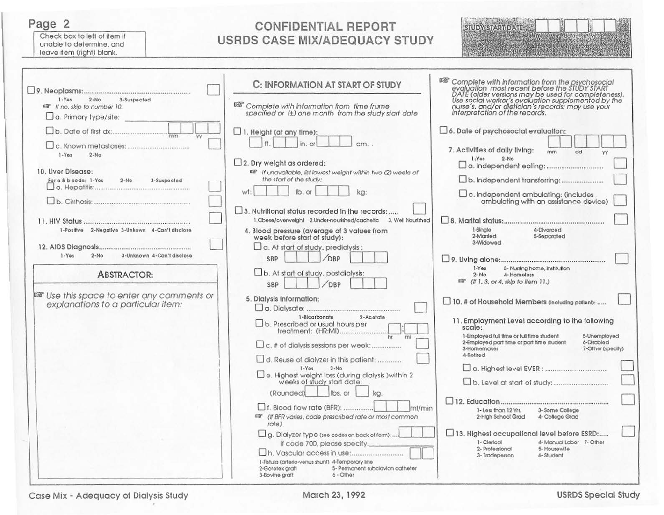Page 2

Check box to left of item if unable to determine, and leave item (right) blank.

# **CONFIDENTIAL REPORT** USRDS CASE MIX/ADEQUACY STUDY



| $1 - Y$ es<br>3-Suspected<br>$2-No$                                                     | C: INFORMATION AT START OF STUDY                                                                               | <b>ISS</b> Complete with information from the psychosocial<br>evaluation most recent before the STUDY START<br>DATE (older versions may be used for completeness).<br>Use social worker's evaluation supplemented by the<br>nurse's, and/or die |
|-----------------------------------------------------------------------------------------|----------------------------------------------------------------------------------------------------------------|-------------------------------------------------------------------------------------------------------------------------------------------------------------------------------------------------------------------------------------------------|
| <sup>ES</sup> If no, skip to number 10.<br>$\Box$ a. Primary type/site:                 | ES Complete with information from time frame<br>specified or (±) one month from the study start date           |                                                                                                                                                                                                                                                 |
|                                                                                         | $\Box$ 1. Height (at any time):<br>#<br>in, or                                                                 | $\Box$ 6. Date of psychosocial evaluation:<br>7. Activities of daily living:<br>mm                                                                                                                                                              |
| $1 - Yos$<br>$2 - No$<br>10. Liver Disease:                                             | $\Box$ 2. Dry weight as ordered:<br>☞ If unavailable, list lowest weight within two (2) weeks of               | dd<br><b>YY</b><br>$1 - Yes$<br>$2-N0$                                                                                                                                                                                                          |
| For a & b code: 1-Yes<br>$2 - No$<br>3-Suspected                                        | the start of the study:<br>lb. or<br>ka:<br>wt:                                                                |                                                                                                                                                                                                                                                 |
|                                                                                         | 3. Nutritional status recorded in the records:                                                                 | $\square$ c. Independent ambulating: (includes<br>ambulating with an assistance device)                                                                                                                                                         |
|                                                                                         | 1. Obese/overweight 2. Under-nourished/cachetic 3. Well Nourished                                              |                                                                                                                                                                                                                                                 |
| 1-Positive 2-Negative 3-Unkown 4-Can't disclose                                         | 4. Blood pressure (average of 3 values from<br>week before start of study):                                    | 1-Single<br>4-Divorced<br>2-Married<br>5-Separated<br>3-Widowed                                                                                                                                                                                 |
| 3-Unknown 4-Can't disclose<br>$1 - Yos$<br>$2-No$                                       | $\Box$ a. At start of study, predialysis:<br>OBP<br>SBP                                                        |                                                                                                                                                                                                                                                 |
| <b>ABSTRACTOR:</b>                                                                      | $\Box$ b. At start of study, postdialysis:<br>OBP<br>SBP                                                       | $1-Yes$<br>3- Nursing home, institution<br>$2 - No$<br>4-Homeless<br>##" (If 1, 3, or 4, skip to Item 11.)                                                                                                                                      |
| <b>ES</b> Use this space to enter any comments or<br>explanations to a particular item: | 5. Dialysis Information:                                                                                       | 10. # of Household Members (including patient):                                                                                                                                                                                                 |
|                                                                                         | 1-Bicarbonate<br>2-Acetate<br>$\Box$ b. Prescribed or usual hours per                                          | 11. Employment Level according to the following<br>scale:                                                                                                                                                                                       |
|                                                                                         | ht<br>mi<br>$\Box$ c. # of dialysis sessions per week:                                                         | 1-Employed full time or full time student<br>5-Unemployed<br>2-Employed part fime or part fime student<br>6-Discbled<br>3-Hornemaker<br>7-Other (specify)<br>4-Retired                                                                          |
|                                                                                         | d. Reuse of dialyzer in this patient:                                                                          |                                                                                                                                                                                                                                                 |
|                                                                                         | $I-Yas$<br>$2 - No$<br>$\square$ e. Highest weight loss (during dialysis ) within 2 weeks of study start date: |                                                                                                                                                                                                                                                 |
|                                                                                         | lbs. or<br>(Rounded)<br>ka.<br>$\Box$ f. Blood flow rate (BFR):<br>$m$ / $m$ in                                | 3- Some College<br>1- Less than 12 Yrs.                                                                                                                                                                                                         |
|                                                                                         | ## (If BFR varies, code prescribed rate or most common<br>rate)                                                | 2-High School Grad<br>4- College Grad                                                                                                                                                                                                           |
|                                                                                         | g. Dialyzer type (see codes on back of form):<br>If code 700, please specify.                                  | 13. Highest occupational level before ESRD:<br>1- Clerical<br>4- Manual Labor 7- Other<br>2- Professional<br>5- Housewife                                                                                                                       |
|                                                                                         | 1-Fistula (arterio-venus shunt) 4-Temporary line                                                               | 3- Tradeperson<br>6-Student                                                                                                                                                                                                                     |
|                                                                                         | 5- Permanent subclavian catheter<br>2-Goretex graft<br>6 - Other<br>3-Bovine graft                             |                                                                                                                                                                                                                                                 |

Case Mix - Adequacy of Dialysis Study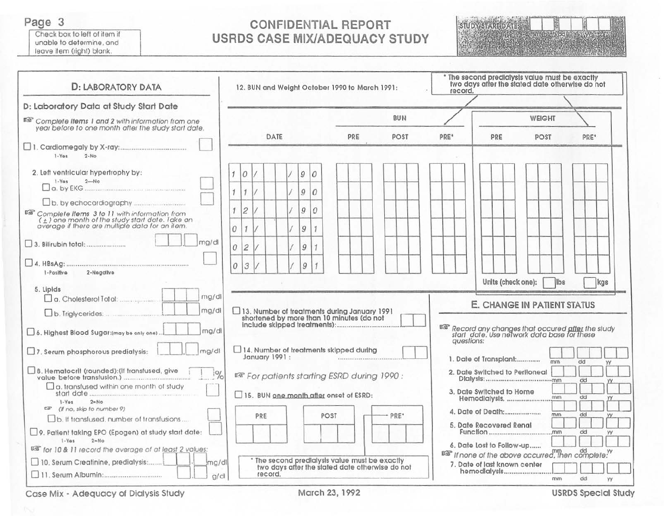Page 3

Check box to left of item if unable to determine, and leave item (right) blank.

## **CONFIDENTIAL REPORT USRDS CASE MIX/ADEQUACY STUDY**



| <b>D: LABORATORY DATA</b>                                                                                                                                                                  |                                                                                    | 12. BUN and Weight October 1990 to March 1991:                                                   |               |  |      |  |               |                |                                        |     |                                                |    | * The second predialysis value must be exactly<br>two days after the stated date otherwise do not<br>record. |  |                  |                                |  |     |  |                    |      |                                            |  |                                                                                                                      |     |  |
|--------------------------------------------------------------------------------------------------------------------------------------------------------------------------------------------|------------------------------------------------------------------------------------|--------------------------------------------------------------------------------------------------|---------------|--|------|--|---------------|----------------|----------------------------------------|-----|------------------------------------------------|----|--------------------------------------------------------------------------------------------------------------|--|------------------|--------------------------------|--|-----|--|--------------------|------|--------------------------------------------|--|----------------------------------------------------------------------------------------------------------------------|-----|--|
| D: Laboratory Data at Study Start Date<br>If Complete Items 1 and 2 with information from one<br>year before to one month after the study start date,                                      |                                                                                    | <b>BUN</b>                                                                                       |               |  |      |  |               |                |                                        |     |                                                |    |                                                                                                              |  | <b>WEIGHT</b>    |                                |  |     |  |                    |      |                                            |  |                                                                                                                      |     |  |
|                                                                                                                                                                                            |                                                                                    |                                                                                                  |               |  | DATE |  |               |                |                                        | PRE |                                                |    | POST                                                                                                         |  | PRE <sup>*</sup> |                                |  | PRE |  |                    | POST |                                            |  | PRE <sup>*</sup>                                                                                                     |     |  |
| $1 - Yos$<br>$2-N0$                                                                                                                                                                        |                                                                                    |                                                                                                  |               |  |      |  |               |                |                                        |     |                                                |    |                                                                                                              |  |                  |                                |  |     |  |                    |      |                                            |  |                                                                                                                      |     |  |
| 2. Left ventricular hypertrophy by:                                                                                                                                                        | $\overline{1}$                                                                     | $\overline{O}$                                                                                   |               |  |      |  | $\mathcal{G}$ | 10             |                                        |     |                                                |    |                                                                                                              |  |                  |                                |  |     |  |                    |      |                                            |  |                                                                                                                      |     |  |
| $1 - Y$ es<br>$2 - No$                                                                                                                                                                     | $\mathcal{I}$                                                                      | $\mathcal{I}$                                                                                    | $\frac{1}{2}$ |  |      |  | $\mathcal{G}$ | $\overline{O}$ |                                        |     |                                                |    |                                                                                                              |  |                  |                                |  |     |  |                    |      |                                            |  |                                                                                                                      |     |  |
|                                                                                                                                                                                            | 1                                                                                  | $\overline{c}$                                                                                   |               |  |      |  | 9             | 0              |                                        |     |                                                |    |                                                                                                              |  |                  |                                |  |     |  |                    |      |                                            |  |                                                                                                                      |     |  |
| $\begin{array}{l} \mathbb{R} \mathbb{R}^n$ Complete Items 3 to 11 with information from $(\pm)$ one month of the study start date. Take an overage if there are multiple data for an item. | 0                                                                                  | $\mathbf{f}$                                                                                     |               |  |      |  | 9             | $\overline{1}$ |                                        |     |                                                |    |                                                                                                              |  |                  |                                |  |     |  |                    |      |                                            |  |                                                                                                                      |     |  |
| mg/dl                                                                                                                                                                                      |                                                                                    | $\overline{\mathcal{L}}$<br>0                                                                    |               |  |      |  | 9             | $\mathcal I$   |                                        |     |                                                |    |                                                                                                              |  |                  |                                |  |     |  |                    |      |                                            |  |                                                                                                                      |     |  |
| 2-Negative<br>I-Positive                                                                                                                                                                   |                                                                                    | 3<br>$\overline{O}$                                                                              |               |  |      |  | $\mathcal G$  | $\mathcal I$   |                                        |     |                                                |    |                                                                                                              |  |                  |                                |  |     |  |                    |      |                                            |  |                                                                                                                      |     |  |
| 5. Lipids<br>mg/dl<br>mg/dl                                                                                                                                                                |                                                                                    |                                                                                                  |               |  |      |  |               |                |                                        |     | 13. Number of treatments during January 1991   |    |                                                                                                              |  |                  |                                |  |     |  | Units (check one): |      | ilbs<br><b>E. CHANGE IN PATIENT STATUS</b> |  |                                                                                                                      | kgs |  |
| mg/dl<br>6. Highest Blood Sugar: (may be only one)                                                                                                                                         |                                                                                    |                                                                                                  |               |  |      |  |               |                |                                        |     | shortened by more than 10 minutes (do not      |    |                                                                                                              |  |                  |                                |  |     |  |                    |      |                                            |  | <sup>USS</sup> Record any changes that occured <u>after</u> the study<br>start date. Use network data base for these |     |  |
| mg/dl<br>$\Box$ 7. Serum phosphorous predialysis:                                                                                                                                          |                                                                                    | auestions:<br>14. Number of treatments skipped during<br>January 1991:<br>1. Date of Transplant: |               |  |      |  |               |                |                                        |     |                                                |    | mm                                                                                                           |  | dd               |                                |  |     |  |                    |      |                                            |  |                                                                                                                      |     |  |
| 8. Hematocrit (rounded): (If transfused, give<br>$\frac{1}{6}$                                                                                                                             |                                                                                    |                                                                                                  |               |  |      |  |               |                |                                        |     | ER For patients starting ESRD during 1990:     |    |                                                                                                              |  |                  | 2. Date Switched to Peritoneal |  |     |  |                    |      |                                            |  | dd                                                                                                                   |     |  |
| a. transfused within one month of study                                                                                                                                                    |                                                                                    |                                                                                                  |               |  |      |  |               |                | 15. BUN one month after onset of ESRD: |     |                                                |    |                                                                                                              |  |                  | 3. Date Switched to Home       |  |     |  | Hemodialysis.      |      | mm                                         |  | dd                                                                                                                   |     |  |
| $1 - Y$ os<br>2nNo<br>(If no, skip to number 9)<br>密                                                                                                                                       |                                                                                    |                                                                                                  |               |  |      |  |               |                |                                        |     |                                                |    |                                                                                                              |  |                  | 4. Date of Death:              |  |     |  |                    |      | mm                                         |  | dd                                                                                                                   |     |  |
| b. If transfused, number of transfusions<br>9. Patient taking EPO (Epogen) at study start date:                                                                                            |                                                                                    | PRE*<br>POST<br>PRE<br>5. Date Recovered Renal                                                   |               |  |      |  |               |                |                                        | dd  | YY                                             |    |                                                                                                              |  |                  |                                |  |     |  |                    |      |                                            |  |                                                                                                                      |     |  |
| 2 nN <sub>0</sub><br>$1 - Ya5$<br>03 for 10 & 11 record the average of at least 2 values:                                                                                                  |                                                                                    |                                                                                                  |               |  |      |  |               |                |                                        |     |                                                |    |                                                                                                              |  |                  | 6. Date Lost to Follow-up      |  |     |  |                    |      |                                            |  |                                                                                                                      |     |  |
| 10. Serum Creatinine, predialysis:<br>mg/dl                                                                                                                                                |                                                                                    |                                                                                                  |               |  |      |  |               |                |                                        |     | * The second predialysis value must be exactly |    |                                                                                                              |  |                  | 7. Date of last known center   |  |     |  |                    |      |                                            |  | IS If none of the above occurred, then complete."                                                                    |     |  |
|                                                                                                                                                                                            | two days after the stated date otherwise do not<br>hemodlalysis<br>record.<br>g/dl |                                                                                                  |               |  |      |  |               |                |                                        | mm  |                                                | dd | YY                                                                                                           |  |                  |                                |  |     |  |                    |      |                                            |  |                                                                                                                      |     |  |

Case Mix - Adequacy of Dialysis Study

**USRDS Special Study**